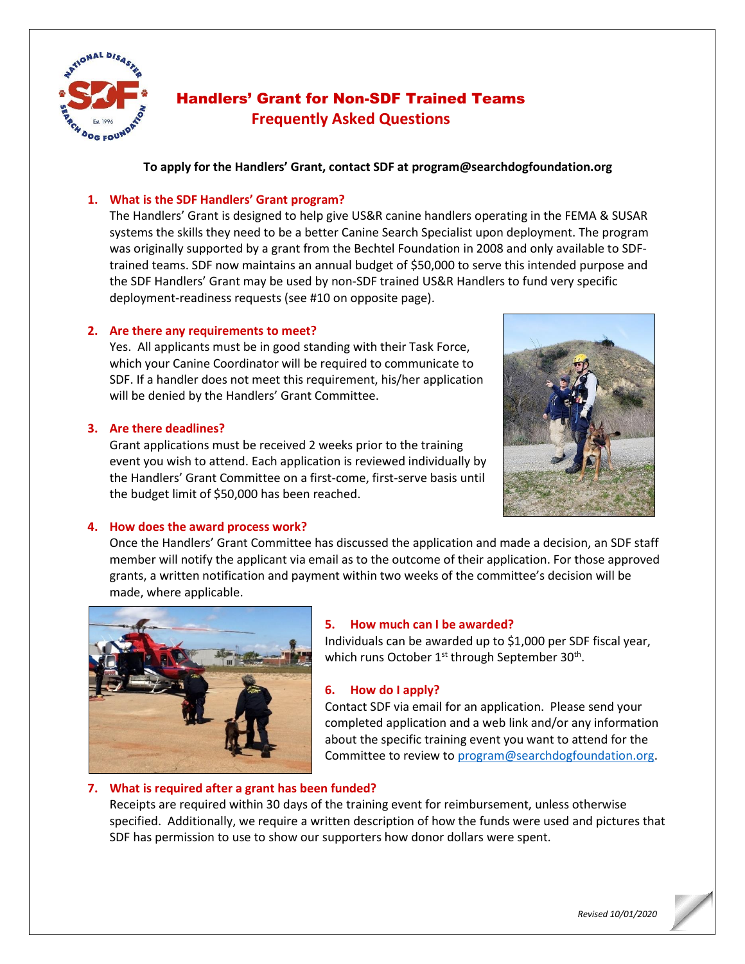

# Handlers' Grant for Non-SDF Trained Teams **Frequently Asked Questions**

**To apply for the Handlers' Grant, contact SDF at program@searchdogfoundation.org**

## **1. What is the SDF Handlers' Grant program?**

The Handlers' Grant is designed to help give US&R canine handlers operating in the FEMA & SUSAR systems the skills they need to be a better Canine Search Specialist upon deployment. The program was originally supported by a grant from the Bechtel Foundation in 2008 and only available to SDFtrained teams. SDF now maintains an annual budget of \$50,000 to serve this intended purpose and the SDF Handlers' Grant may be used by non-SDF trained US&R Handlers to fund very specific deployment-readiness requests (see #10 on opposite page).

## **2. Are there any requirements to meet?**

Yes. All applicants must be in good standing with their Task Force, which your Canine Coordinator will be required to communicate to SDF. If a handler does not meet this requirement, his/her application will be denied by the Handlers' Grant Committee.

## **3. Are there deadlines?**

Grant applications must be received 2 weeks prior to the training event you wish to attend. Each application is reviewed individually by the Handlers' Grant Committee on a first-come, first-serve basis until the budget limit of \$50,000 has been reached.



## **4. How does the award process work?**

Once the Handlers' Grant Committee has discussed the application and made a decision, an SDF staff member will notify the applicant via email as to the outcome of their application. For those approved grants, a written notification and payment within two weeks of the committee's decision will be made, where applicable.



## **5. How much can I be awarded?**

Individuals can be awarded up to \$1,000 per SDF fiscal year, which runs October  $1^{st}$  through September 30<sup>th</sup>.

## **6. How do I apply?**

Contact SDF via email for an application. Please send your completed application and a web link and/or any information about the specific training event you want to attend for the Committee to review to [program@searchdogfoundation.org.](mailto:program@searchdogfoundation.org)

## **7. What is required after a grant has been funded?**

Receipts are required within 30 days of the training event for reimbursement, unless otherwise specified. Additionally, we require a written description of how the funds were used and pictures that SDF has permission to use to show our supporters how donor dollars were spent.